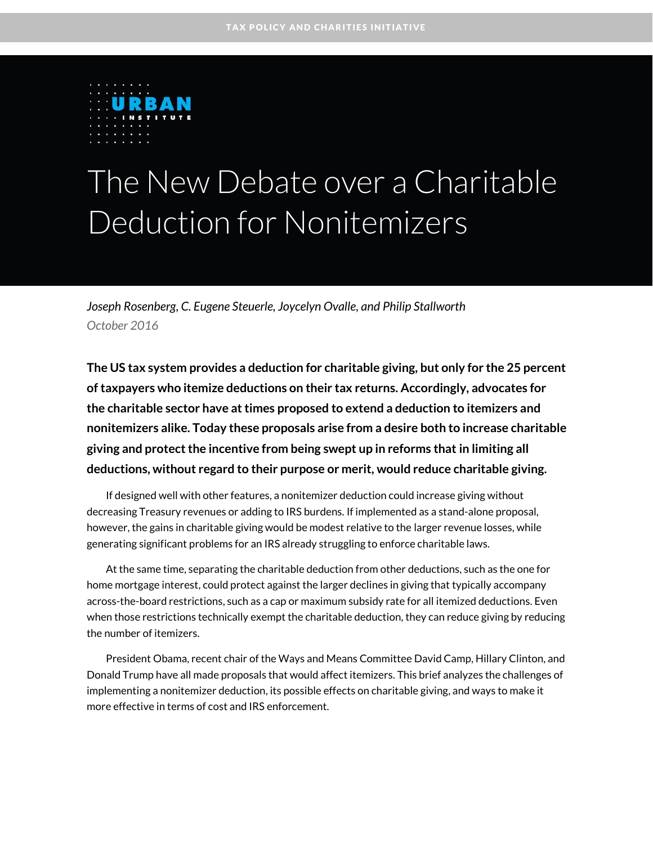

# The New Debate over a Charitable Deduction for Nonitemizers

*Joseph Rosenberg, C. Eugene Steuerle, Joycelyn Ovalle, and Philip Stallworth October 2016*

**The US tax system provides a deduction for charitable giving, but only for the 25 percent of taxpayers who itemize deductions on their tax returns. Accordingly, advocates for the charitable sector have at times proposed to extend a deduction to itemizers and nonitemizers alike. Today these proposals arise from a desire both to increase charitable giving and protect the incentive from being swept up in reforms that in limiting all deductions, without regard to their purpose or merit, would reduce charitable giving.**

If designed well with other features, a nonitemizer deduction could increase giving without decreasing Treasury revenues or adding to IRS burdens. If implemented as a stand-alone proposal, however, the gains in charitable giving would be modest relative to the larger revenue losses, while generating significant problems for an IRS already struggling to enforce charitable laws.

At the same time, separating the charitable deduction from other deductions, such as the one for home mortgage interest, could protect against the larger declines in giving that typically accompany across-the-board restrictions, such as a cap or maximum subsidy rate for all itemized deductions. Even when those restrictions technically exempt the charitable deduction, they can reduce giving by reducing the number of itemizers.

President Obama, recent chair of the Ways and Means Committee David Camp, Hillary Clinton, and Donald Trump have all made proposals that would affect itemizers. This brief analyzes the challenges of implementing a nonitemizer deduction, its possible effects on charitable giving, and ways to make it more effective in terms of cost and IRS enforcement.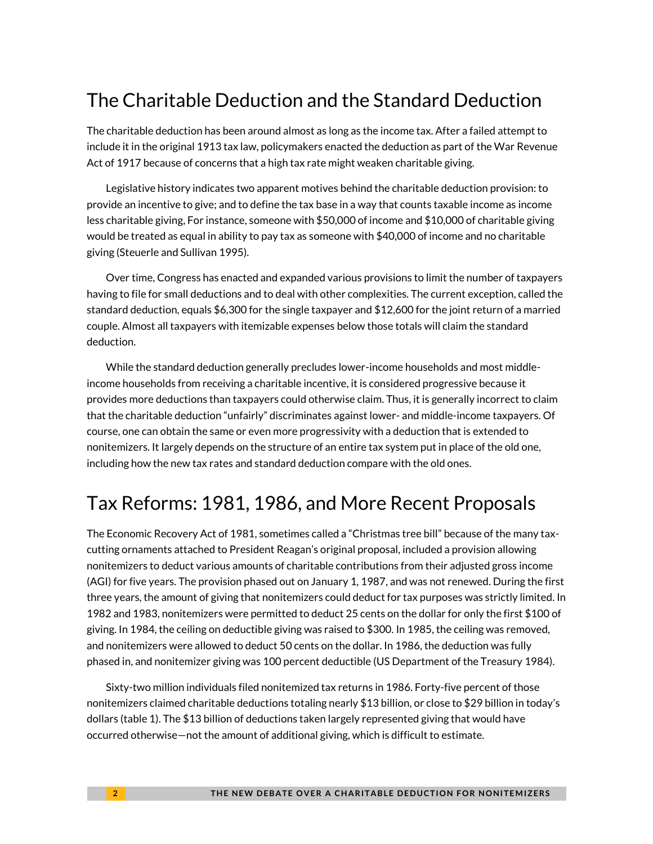# The Charitable Deduction and the Standard Deduction

The charitable deduction has been around almost as long as the income tax. After a failed attempt to include it in the original 1913 tax law, policymakers enacted the deduction as part of the War Revenue Act of 1917 because of concerns that a high tax rate might weaken charitable giving.

Legislative history indicates two apparent motives behind the charitable deduction provision: to provide an incentive to give; and to define the tax base in a way that counts taxable income as income less charitable giving, For instance, someone with \$50,000 of income and \$10,000 of charitable giving would be treated as equal in ability to pay tax as someone with \$40,000 of income and no charitable giving (Steuerle and Sullivan 1995).

Over time, Congress has enacted and expanded various provisions to limit the number of taxpayers having to file for small deductions and to deal with other complexities. The current exception, called the standard deduction, equals \$6,300 for the single taxpayer and \$12,600 for the joint return of a married couple. Almost all taxpayers with itemizable expenses below those totals will claim the standard deduction.

While the standard deduction generally precludes lower-income households and most middleincome households from receiving a charitable incentive, it is considered progressive because it provides more deductions than taxpayers could otherwise claim. Thus, it is generally incorrect to claim that the charitable deduction "unfairly" discriminates against lower- and middle-income taxpayers. Of course, one can obtain the same or even more progressivity with a deduction that is extended to nonitemizers. It largely depends on the structure of an entire tax system put in place of the old one, including how the new tax rates and standard deduction compare with the old ones.

# Tax Reforms: 1981, 1986, and More Recent Proposals

The Economic Recovery Act of 1981, sometimes called a "Christmas tree bill" because of the many taxcutting ornaments attached to President Reagan's original proposal, included a provision allowing nonitemizers to deduct various amounts of charitable contributions from their adjusted gross income (AGI) for five years. The provision phased out on January 1, 1987, and was not renewed. During the first three years, the amount of giving that nonitemizers could deduct for tax purposes was strictly limited. In 1982 and 1983, nonitemizers were permitted to deduct 25 cents on the dollar for only the first \$100 of giving. In 1984, the ceiling on deductible giving was raised to \$300. In 1985, the ceiling was removed, and nonitemizers were allowed to deduct 50 cents on the dollar. In 1986, the deduction was fully phased in, and nonitemizer giving was 100 percent deductible (US Department of the Treasury 1984).

Sixty-two million individuals filed nonitemized tax returns in 1986. Forty-five percent of those nonitemizers claimed charitable deductions totaling nearly \$13 billion, or close to \$29 billion in today's dollars (table 1). The \$13 billion of deductions taken largely represented giving that would have occurred otherwise—not the amount of additional giving, which is difficult to estimate.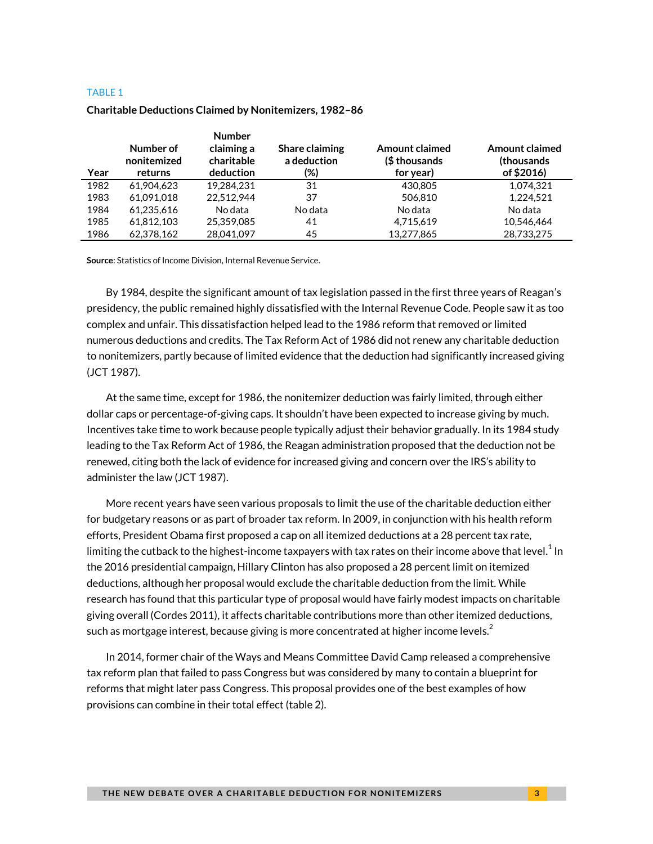#### TABLE 1

| Year | Number of<br>nonitemized<br>returns | <b>Number</b><br>claiming a<br>charitable<br>deduction | Share claiming<br>a deduction<br>(%) | <b>Amount claimed</b><br>(\$ thousands)<br>for year) | <b>Amount claimed</b><br>(thousands)<br>of \$2016) |
|------|-------------------------------------|--------------------------------------------------------|--------------------------------------|------------------------------------------------------|----------------------------------------------------|
| 1982 | 61.904.623                          | 19.284.231                                             | 31                                   | 430,805                                              | 1.074.321                                          |
| 1983 | 61.091.018                          | 22.512.944                                             | 37                                   | 506.810                                              | 1,224,521                                          |
| 1984 | 61.235.616                          | No data                                                | No data                              | No data                                              | No data                                            |
| 1985 | 61.812.103                          | 25.359.085                                             | 41                                   | 4,715,619                                            | 10.546.464                                         |
| 1986 | 62.378.162                          | 28,041,097                                             | 45                                   | 13,277,865                                           | 28,733,275                                         |

#### **Charitable Deductions Claimed by Nonitemizers, 1982–86**

**Source**: Statistics of Income Division, Internal Revenue Service.

By 1984, despite the significant amount of tax legislation passed in the first three years of Reagan's presidency, the public remained highly dissatisfied with the Internal Revenue Code. People saw it as too complex and unfair. This dissatisfaction helped lead to the 1986 reform that removed or limited numerous deductions and credits. The Tax Reform Act of 1986 did not renew any charitable deduction to nonitemizers, partly because of limited evidence that the deduction had significantly increased giving (JCT 1987).

At the same time, except for 1986, the nonitemizer deduction was fairly limited, through either dollar caps or percentage-of-giving caps. It shouldn't have been expected to increase giving by much. Incentives take time to work because people typically adjust their behavior gradually. In its 1984 study leading to the Tax Reform Act of 1986, the Reagan administration proposed that the deduction not be renewed, citing both the lack of evidence for increased giving and concern over the IRS's ability to administer the law (JCT 1987).

More recent years have seen various proposals to limit the use of the charitable deduction either for budgetary reasons or as part of broader tax reform. In 2009, in conjunction with his health reform efforts, President Obama first proposed a cap on all itemized deductions at a 28 percent tax rate, limiting the cutback to the highest-income taxpayers with tax rates on their income above that level. $^{\rm 1}$  $^{\rm 1}$  $^{\rm 1}$  In the 2016 presidential campaign, Hillary Clinton has also proposed a 28 percent limit on itemized deductions, although her proposal would exclude the charitable deduction from the limit. While research has found that this particular type of proposal would have fairly modest impacts on charitable giving overall (Cordes 2011), it affects charitable contributions more than other itemized deductions, such as mortgage interest, because giving is more concentrated at higher income levels. $<sup>2</sup>$  $<sup>2</sup>$  $<sup>2</sup>$ </sup>

In 2014, former chair of the Ways and Means Committee David Camp released a comprehensive tax reform plan that failed to pass Congress but was considered by many to contain a blueprint for reforms that might later pass Congress. This proposal provides one of the best examples of how provisions can combine in their total effect (table 2).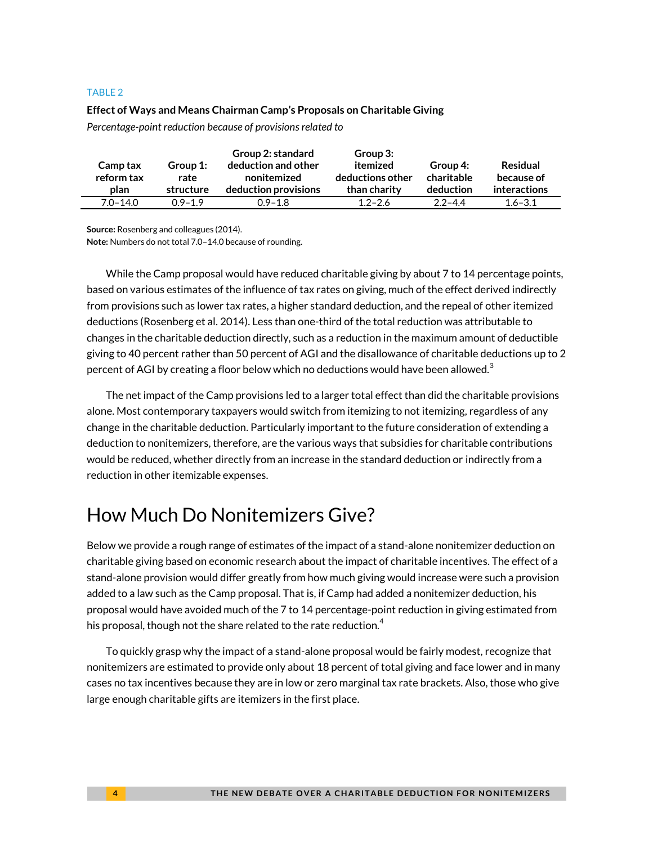#### TABLE 2

#### **Effect of Ways and Means Chairman Camp's Proposals on Charitable Giving**

*Percentage-point reduction because of provisions related to*

| Camp tax<br>reform tax<br>plan | Group 1:<br>rate<br>structure | Group 2: standard<br>deduction and other<br>nonitemized<br>deduction provisions | Group 3:<br>itemized<br>deductions other<br>than charity | Group 4:<br>charitable<br>deduction | Residual<br>because of<br><b>interactions</b> |
|--------------------------------|-------------------------------|---------------------------------------------------------------------------------|----------------------------------------------------------|-------------------------------------|-----------------------------------------------|
| $7.0 - 14.0$                   | $0.9 - 1.9$                   | $0.9 - 1.8$                                                                     | $1.2 - 2.6$                                              | $2.2 - 4.4$                         | $1.6 - 3.1$                                   |

**Source:** Rosenberg and colleagues (2014).

**Note:** Numbers do not total 7.0–14.0 because of rounding.

While the Camp proposal would have reduced charitable giving by about 7 to 14 percentage points, based on various estimates of the influence of tax rates on giving, much of the effect derived indirectly from provisions such as lower tax rates, a higher standard deduction, and the repeal of other itemized deductions (Rosenberg et al. 2014). Less than one-third of the total reduction was attributable to changes in the charitable deduction directly, such as a reduction in the maximum amount of deductible giving to 40 percent rather than 50 percent of AGI and the disallowance of charitable deductions up to 2 percent of AGI by creating a floor below which no deductions would have been allowed.<sup>[3](#page-8-0)</sup>

The net impact of the Camp provisions led to a larger total effect than did the charitable provisions alone. Most contemporary taxpayers would switch from itemizing to not itemizing, regardless of any change in the charitable deduction. Particularly important to the future consideration of extending a deduction to nonitemizers, therefore, are the various ways that subsidies for charitable contributions would be reduced, whether directly from an increase in the standard deduction or indirectly from a reduction in other itemizable expenses.

# How Much Do Nonitemizers Give?

Below we provide a rough range of estimates of the impact of a stand-alone nonitemizer deduction on charitable giving based on economic research about the impact of charitable incentives. The effect of a stand-alone provision would differ greatly from how much giving would increase were such a provision added to a law such as the Camp proposal. That is, if Camp had added a nonitemizer deduction, his proposal would have avoided much of the 7 to 14 percentage-point reduction in giving estimated from his proposal, though not the share related to the rate reduction.<sup>[4](#page-8-1)</sup>

To quickly grasp why the impact of a stand-alone proposal would be fairly modest, recognize that nonitemizers are estimated to provide only about 18 percent of total giving and face lower and in many cases no tax incentives because they are in low or zero marginal tax rate brackets. Also, those who give large enough charitable gifts are itemizers in the first place.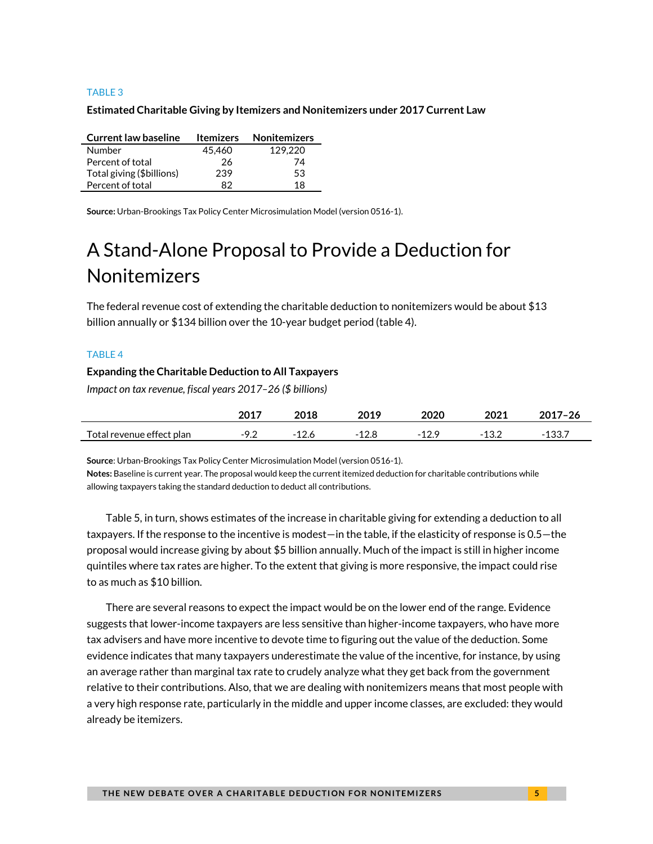#### TABLE 3

#### **Estimated Charitable Giving by Itemizers and Nonitemizers under 2017 Current Law**

| <b>Current law baseline</b> | <b>Itemizers</b> | <b>Nonitemizers</b> |
|-----------------------------|------------------|---------------------|
| Number                      | 45.460           | 129,220             |
| Percent of total            | 26               | 74                  |
| Total giving (\$billions)   | 239              | 53                  |
| Percent of total            | 82               | 18                  |

**Source:** Urban-Brookings Tax Policy Center Microsimulation Model (version 0516-1).

# A Stand-Alone Proposal to Provide a Deduction for Nonitemizers

The federal revenue cost of extending the charitable deduction to nonitemizers would be about \$13 billion annually or \$134 billion over the 10-year budget period (table 4).

#### TABLE 4

#### **Expanding the Charitable Deduction to All Taxpayers**

*Impact on tax revenue, fiscal years 2017–26 (\$ billions)*

|                           |     | 2019 | 2020 | 2021 | $2017 - 26$ |
|---------------------------|-----|------|------|------|-------------|
| Total revenue effect plan | ے ، |      | -    |      |             |

**Source**: Urban-Brookings Tax Policy Center Microsimulation Model (version 0516-1).

**Notes:** Baseline is current year. The proposal would keep the current itemized deduction for charitable contributions while allowing taxpayers taking the standard deduction to deduct all contributions.

Table 5, in turn, shows estimates of the increase in charitable giving for extending a deduction to all taxpayers. If the response to the incentive is modest—in the table, if the elasticity of response is 0.5—the proposal would increase giving by about \$5 billion annually. Much of the impact is still in higher income quintiles where tax rates are higher. To the extent that giving is more responsive, the impact could rise to as much as \$10 billion.

There are several reasons to expect the impact would be on the lower end of the range. Evidence suggests that lower-income taxpayers are less sensitive than higher-income taxpayers, who have more tax advisers and have more incentive to devote time to figuring out the value of the deduction. Some evidence indicates that many taxpayers underestimate the value of the incentive, for instance, by using an average rather than marginal tax rate to crudely analyze what they get back from the government relative to their contributions. Also, that we are dealing with nonitemizers means that most people with a very high response rate, particularly in the middle and upper income classes, are excluded: they would already be itemizers.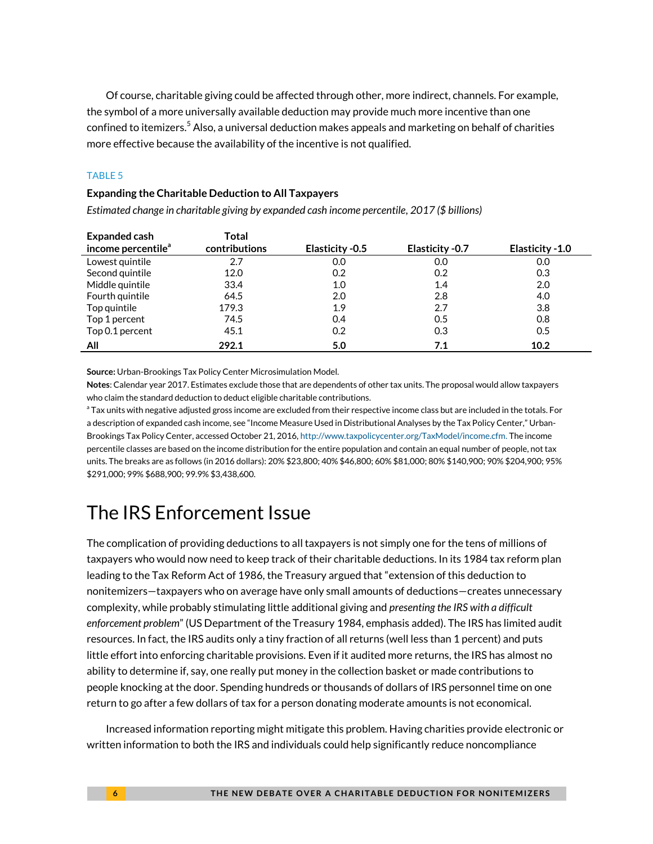Of course, charitable giving could be affected through other, more indirect, channels. For example, the symbol of a more universally available deduction may provide much more incentive than one confined to itemizers.<sup>[5](#page-8-2)</sup> Also, a universal deduction makes appeals and marketing on behalf of charities more effective because the availability of the incentive is not qualified.

#### TABLE 5

#### **Expanding the Charitable Deduction to All Taxpayers**

*Estimated change in charitable giving by expanded cash income percentile, 2017 (\$ billions)*

| <b>Expanded cash</b>           | Total         |                  |                 |                  |
|--------------------------------|---------------|------------------|-----------------|------------------|
| income percentile <sup>a</sup> | contributions | Elasticity - 0.5 | Elasticity -0.7 | Elasticity - 1.0 |
| Lowest quintile                | 2.7           | 0.0              | 0.0             | 0.0              |
| Second quintile                | 12.0          | 0.2              | 0.2             | 0.3              |
| Middle quintile                | 33.4          | 1.0              | 1.4             | 2.0              |
| Fourth quintile                | 64.5          | 2.0              | 2.8             | 4.0              |
| Top quintile                   | 179.3         | 1.9              | 2.7             | 3.8              |
| Top 1 percent                  | 74.5          | 0.4              | 0.5             | 0.8              |
| Top 0.1 percent                | 45.1          | 0.2              | 0.3             | 0.5              |
| All                            | 292.1         | 5.0              | 7.1             | 10.2             |

**Source:** Urban-Brookings Tax Policy Center Microsimulation Model.

**Notes**: Calendar year 2017. Estimates exclude those that are dependents of other tax units. The proposal would allow taxpayers who claim the standard deduction to deduct eligible charitable contributions.

 $^{\rm a}$  Tax units with negative adjusted gross income are excluded from their respective income class but are included in the totals. For a description of expanded cash income, see "Income Measure Used in Distributional Analyses by the Tax Policy Center," Urban-Brookings Tax Policy Center, accessed October 21, 2016[, http://www.taxpolicycenter.org/TaxModel/income.cfm.](http://www.taxpolicycenter.org/TaxModel/income.cfm) The income percentile classes are based on the income distribution for the entire population and contain an equal number of people, not tax units. The breaks are as follows (in 2016 dollars): 20% \$23,800; 40% \$46,800; 60% \$81,000; 80% \$140,900; 90% \$204,900; 95% \$291,000; 99% \$688,900; 99.9% \$3,438,600.

# The IRS Enforcement Issue

The complication of providing deductions to all taxpayers is not simply one for the tens of millions of taxpayers who would now need to keep track of their charitable deductions. In its 1984 tax reform plan leading to the Tax Reform Act of 1986, the Treasury argued that "extension of this deduction to nonitemizers—taxpayers who on average have only small amounts of deductions—creates unnecessary complexity, while probably stimulating little additional giving and *presenting the IRS with a difficult enforcement problem*" (US Department of the Treasury 1984, emphasis added). The IRS has limited audit resources. In fact, the IRS audits only a tiny fraction of all returns (well less than 1 percent) and puts little effort into enforcing charitable provisions. Even if it audited more returns, the IRS has almost no ability to determine if, say, one really put money in the collection basket or made contributions to people knocking at the door. Spending hundreds or thousands of dollars of IRS personnel time on one return to go after a few dollars of tax for a person donating moderate amounts is not economical.

Increased information reporting might mitigate this problem. Having charities provide electronic or written information to both the IRS and individuals could help significantly reduce noncompliance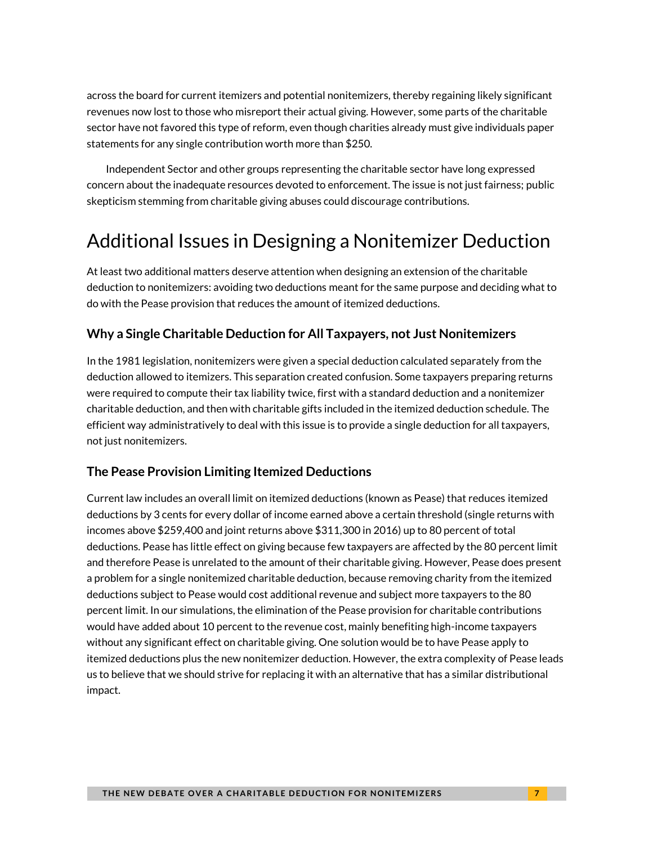across the board for current itemizers and potential nonitemizers, thereby regaining likely significant revenues now lost to those who misreport their actual giving. However, some parts of the charitable sector have not favored this type of reform, even though charities already must give individuals paper statements for any single contribution worth more than \$250.

Independent Sector and other groups representing the charitable sector have long expressed concern about the inadequate resources devoted to enforcement. The issue is not just fairness; public skepticism stemming from charitable giving abuses could discourage contributions.

# Additional Issues in Designing a Nonitemizer Deduction

At least two additional matters deserve attention when designing an extension of the charitable deduction to nonitemizers: avoiding two deductions meant for the same purpose and deciding what to do with the Pease provision that reduces the amount of itemized deductions.

#### **Why a Single Charitable Deduction for All Taxpayers, not Just Nonitemizers**

In the 1981 legislation, nonitemizers were given a special deduction calculated separately from the deduction allowed to itemizers. This separation created confusion. Some taxpayers preparing returns were required to compute their tax liability twice, first with a standard deduction and a nonitemizer charitable deduction, and then with charitable gifts included in the itemized deduction schedule. The efficient way administratively to deal with this issue is to provide a single deduction for all taxpayers, not just nonitemizers.

#### **The Pease Provision Limiting Itemized Deductions**

Current law includes an overall limit on itemized deductions (known as Pease) that reduces itemized deductions by 3 cents for every dollar of income earned above a certain threshold (single returns with incomes above \$259,400 and joint returns above \$311,300 in 2016) up to 80 percent of total deductions. Pease has little effect on giving because few taxpayers are affected by the 80 percent limit and therefore Pease is unrelated to the amount of their charitable giving. However, Pease does present a problem for a single nonitemized charitable deduction, because removing charity from the itemized deductions subject to Pease would cost additional revenue and subject more taxpayers to the 80 percent limit. In our simulations, the elimination of the Pease provision for charitable contributions would have added about 10 percent to the revenue cost, mainly benefiting high-income taxpayers without any significant effect on charitable giving. One solution would be to have Pease apply to itemized deductions plus the new nonitemizer deduction. However, the extra complexity of Pease leads us to believe that we should strive for replacing it with an alternative that has a similar distributional impact.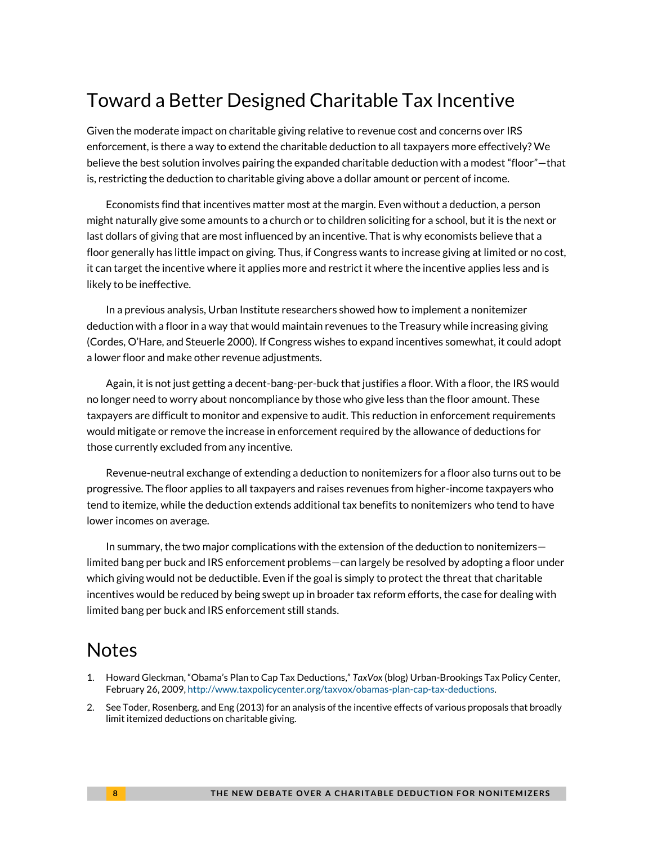# Toward a Better Designed Charitable Tax Incentive

Given the moderate impact on charitable giving relative to revenue cost and concerns over IRS enforcement, is there a way to extend the charitable deduction to all taxpayers more effectively? We believe the best solution involves pairing the expanded charitable deduction with a modest "floor"—that is, restricting the deduction to charitable giving above a dollar amount or percent of income.

Economists find that incentives matter most at the margin. Even without a deduction, a person might naturally give some amounts to a church or to children soliciting for a school, but it is the next or last dollars of giving that are most influenced by an incentive. That is why economists believe that a floor generally has little impact on giving. Thus, if Congress wants to increase giving at limited or no cost, it can target the incentive where it applies more and restrict it where the incentive applies less and is likely to be ineffective.

In a previous analysis, Urban Institute researchers showed how to implement a nonitemizer deduction with a floor in a way that would maintain revenues to the Treasury while increasing giving (Cordes, O'Hare, and Steuerle 2000). If Congress wishes to expand incentives somewhat, it could adopt a lower floor and make other revenue adjustments.

Again, it is not just getting a decent-bang-per-buck that justifies a floor. With a floor, the IRS would no longer need to worry about noncompliance by those who give less than the floor amount. These taxpayers are difficult to monitor and expensive to audit. This reduction in enforcement requirements would mitigate or remove the increase in enforcement required by the allowance of deductions for those currently excluded from any incentive.

Revenue-neutral exchange of extending a deduction to nonitemizers for a floor also turns out to be progressive. The floor applies to all taxpayers and raises revenues from higher-income taxpayers who tend to itemize, while the deduction extends additional tax benefits to nonitemizers who tend to have lower incomes on average.

In summary, the two major complications with the extension of the deduction to nonitemizers limited bang per buck and IRS enforcement problems—can largely be resolved by adopting a floor under which giving would not be deductible. Even if the goal is simply to protect the threat that charitable incentives would be reduced by being swept up in broader tax reform efforts, the case for dealing with limited bang per buck and IRS enforcement still stands.

# Notes

- <span id="page-7-0"></span>1. Howard Gleckman, "Obama's Plan to Cap Tax Deductions," *TaxVox* (blog) Urban-Brookings Tax Policy Center, February 26, 2009[, http://www.taxpolicycenter.org/taxvox/obamas-plan-cap-tax-deductions.](http://www.taxpolicycenter.org/taxvox/obamas-plan-cap-tax-deductions)
- <span id="page-7-1"></span>2. See Toder, Rosenberg, and Eng (2013) for an analysis of the incentive effects of various proposals that broadly limit itemized deductions on charitable giving.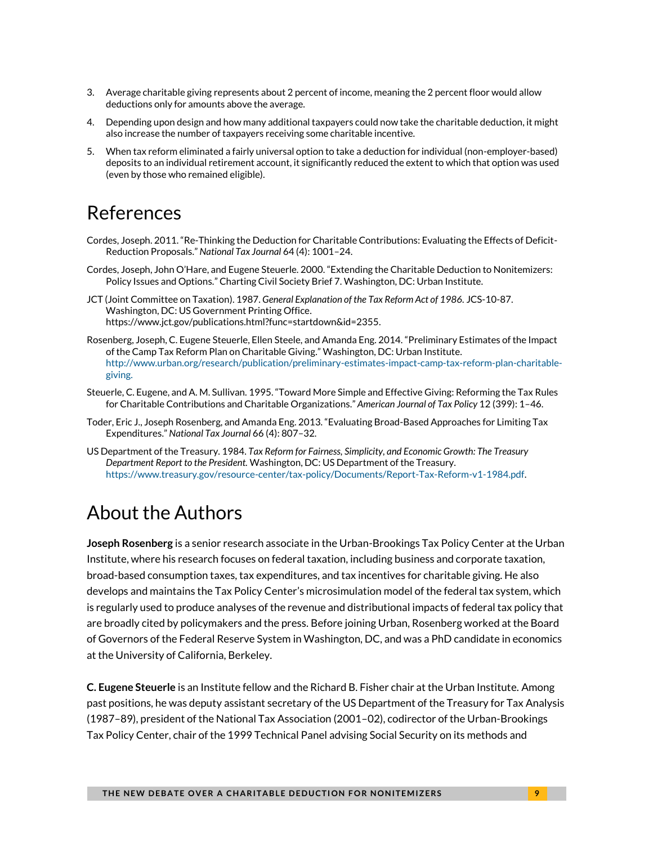- <span id="page-8-0"></span>3. Average charitable giving represents about 2 percent of income, meaning the 2 percent floor would allow deductions only for amounts above the average.
- <span id="page-8-1"></span>4. Depending upon design and how many additional taxpayers could now take the charitable deduction, it might also increase the number of taxpayers receiving some charitable incentive.
- <span id="page-8-2"></span>5. When tax reform eliminated a fairly universal option to take a deduction for individual (non-employer-based) deposits to an individual retirement account, it significantly reduced the extent to which that option was used (even by those who remained eligible).

# References

- Cordes, Joseph. 2011. "Re-Thinking the Deduction for Charitable Contributions: Evaluating the Effects of Deficit-Reduction Proposals." *National Tax Journal* 64 (4): 1001–24.
- Cordes, Joseph, John O'Hare, and Eugene Steuerle. 2000. "Extending the Charitable Deduction to Nonitemizers: Policy Issues and Options." Charting Civil Society Brief 7. Washington, DC: Urban Institute.

JCT (Joint Committee on Taxation). 1987. *General Explanation of the Tax Reform Act of 1986.* JCS-10-87. Washington, DC: US Government Printing Office. https://www.jct.gov/publications.html?func=startdown&id=2355.

- Rosenberg, Joseph, C. Eugene Steuerle, Ellen Steele, and Amanda Eng. 2014. "Preliminary Estimates of the Impact of the Camp Tax Reform Plan on Charitable Giving." Washington, DC: Urban Institute. [http://www.urban.org/research/publication/preliminary-estimates-impact-camp-tax-reform-plan-charitable](http://www.urban.org/research/publication/preliminary-estimates-impact-camp-tax-reform-plan-charitable-giving)[giving.](http://www.urban.org/research/publication/preliminary-estimates-impact-camp-tax-reform-plan-charitable-giving)
- Steuerle, C. Eugene, and A. M. Sullivan. 1995. "Toward More Simple and Effective Giving: Reforming the Tax Rules for Charitable Contributions and Charitable Organizations." *American Journal of Tax Policy* 12 (399): 1–46.
- Toder, Eric J., Joseph Rosenberg, and Amanda Eng. 2013. "Evaluating Broad-Based Approaches for Limiting Tax Expenditures." *National Tax Journal* 66 (4): 807–32.
- US Department of the Treasury. 1984. *Tax Reform for Fairness, Simplicity, and Economic Growth: The Treasury Department Report to the President.* Washington, DC: US Department of the Treasury. [https://www.treasury.gov/resource-center/tax-policy/Documents/Report-Tax-Reform-v1-1984.pdf.](https://www.treasury.gov/resource-center/tax-policy/Documents/Report-Tax-Reform-v1-1984.pdf)

# About the Authors

**Joseph Rosenberg** is a senior research associate in the Urban-Brookings Tax Policy Center at the Urban Institute, where his research focuses on federal taxation, including business and corporate taxation, broad-based consumption taxes, tax expenditures, and tax incentives for charitable giving. He also develops and maintains the Tax Policy Center's microsimulation model of the federal tax system, which is regularly used to produce analyses of the revenue and distributional impacts of federal tax policy that are broadly cited by policymakers and the press. Before joining Urban, Rosenberg worked at the Board of Governors of the Federal Reserve System in Washington, DC, and was a PhD candidate in economics at the University of California, Berkeley.

**C. Eugene Steuerle** is an Institute fellow and the Richard B. Fisher chair at the Urban Institute. Among past positions, he was deputy assistant secretary of the US Department of the Treasury for Tax Analysis (1987–89), president of the National Tax Association (2001–02), codirector of the Urban-Brookings Tax Policy Center, chair of the 1999 Technical Panel advising Social Security on its methods and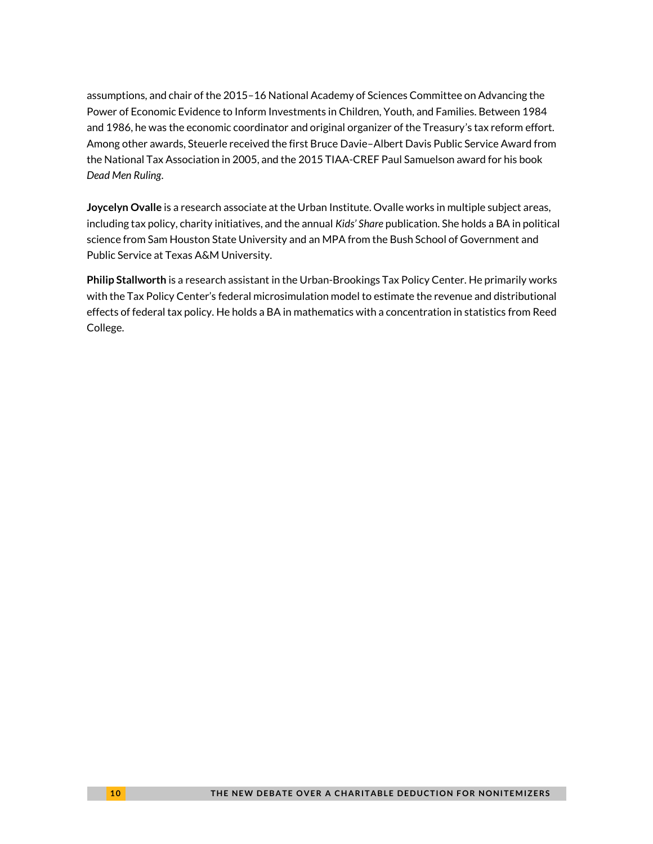assumptions, and chair of the 2015–16 National Academy of Sciences Committee on Advancing the Power of Economic Evidence to Inform Investments in Children, Youth, and Families. Between 1984 and 1986, he was the economic coordinator and original organizer of the Treasury's tax reform effort. Among other awards, Steuerle received the first Bruce Davie–Albert Davis Public Service Award from the National Tax Association in 2005, and the 2015 TIAA-CREF Paul Samuelson award for his book *Dead Men Ruling*.

**Joycelyn Ovalle** is a research associate at the Urban Institute. Ovalle works in multiple subject areas, including tax policy, charity initiatives, and the annual *Kids' Share* publication. She holds a BA in political science from Sam Houston State University and an MPA from the Bush School of Government and Public Service at Texas A&M University.

**Philip Stallworth** is a research assistant in the Urban-Brookings Tax Policy Center. He primarily works with the Tax Policy Center's federal microsimulation model to estimate the revenue and distributional effects of federal tax policy. He holds a BA in mathematics with a concentration in statistics from Reed College.